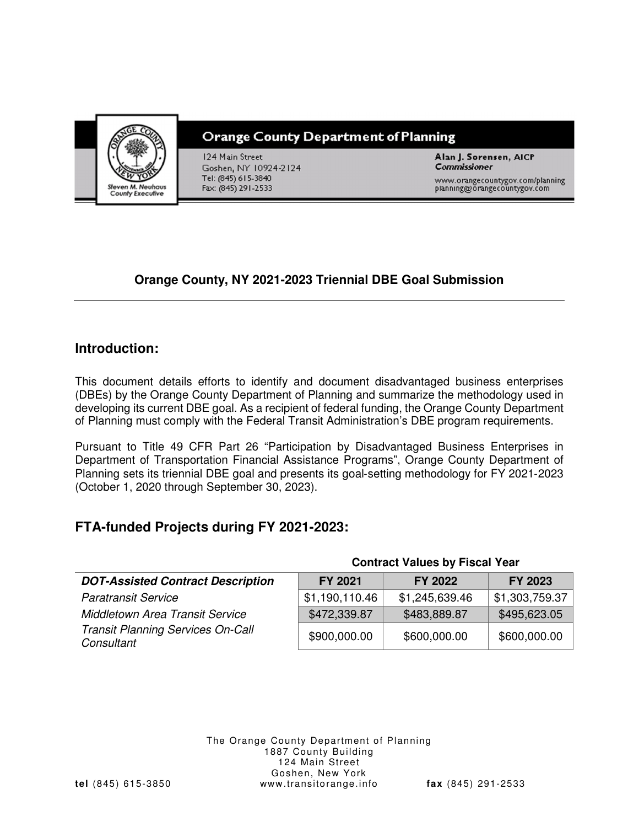

# **Orange County Department of Planning**

124 Main Street Goshen, NY 10924-2124 Tel: (845) 615-3840 Fax: (845) 291-2533

Alan J. Sorensen, AICP **Commissioner** 

www.orangecountygov.com/planning<br>planning@orangecountygov.com

# **Orange County, NY 2021-2023 Triennial DBE Goal Submission**

# **Introduction:**

This document details efforts to identify and document disadvantaged business enterprises (DBEs) by the Orange County Department of Planning and summarize the methodology used in developing its current DBE goal. As a recipient of federal funding, the Orange County Department of Planning must comply with the Federal Transit Administration's DBE program requirements.

Pursuant to Title 49 CFR Part 26 "Participation by Disadvantaged Business Enterprises in Department of Transportation Financial Assistance Programs", Orange County Department of Planning sets its triennial DBE goal and presents its goal‐setting methodology for FY 2021‐2023 (October 1, 2020 through September 30, 2023).

# **FTA-funded Projects during FY 2021-2023:**

|                                                        | <b>POTTUGOL VAIDOS DY LISOAL LOUI</b> |                |                |  |  |
|--------------------------------------------------------|---------------------------------------|----------------|----------------|--|--|
| <b>DOT-Assisted Contract Description</b>               | FY 2021                               | FY 2022        | FY 2023        |  |  |
| <b>Paratransit Service</b>                             | \$1,190,110.46                        | \$1,245,639.46 | \$1,303,759.37 |  |  |
| <b>Middletown Area Transit Service</b>                 | \$472,339.87                          | \$483,889.87   | \$495,623.05   |  |  |
| <b>Transit Planning Services On-Call</b><br>Consultant | \$900,000.00                          | \$600,000.00   | \$600,000.00   |  |  |

#### The Orange County Department of Planning 1887 County Building 124 Main Street Goshen, New York **tel** (845) 615-3850 www.transitorange.info **fax** (845) 291-2533

**Contract Values by Fiscal Year**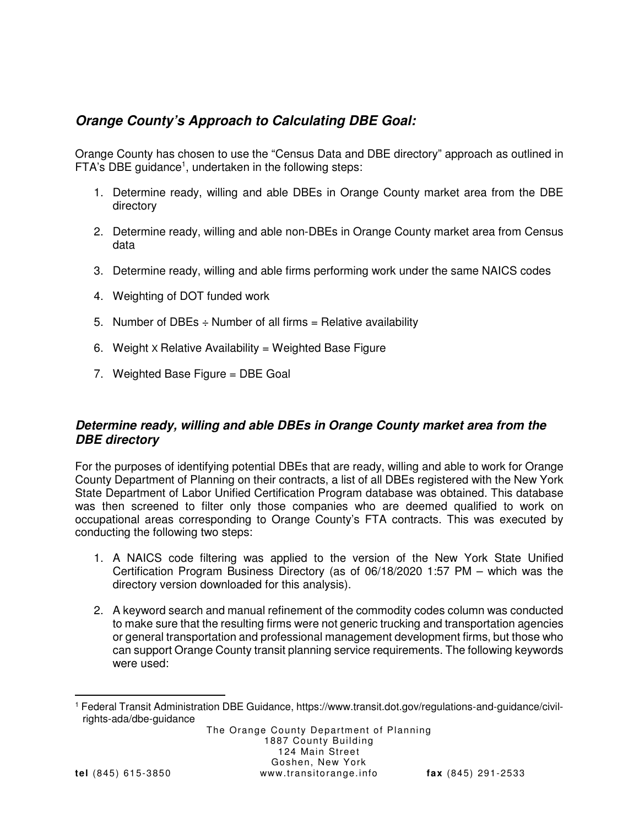# **Orange County's Approach to Calculating DBE Goal:**

Orange County has chosen to use the "Census Data and DBE directory" approach as outlined in FTA's DBE guidance<sup>1</sup>, undertaken in the following steps:

- 1. Determine ready, willing and able DBEs in Orange County market area from the DBE directory
- 2. Determine ready, willing and able non-DBEs in Orange County market area from Census data
- 3. Determine ready, willing and able firms performing work under the same NAICS codes
- 4. Weighting of DOT funded work
- 5. Number of DBEs  $\div$  Number of all firms = Relative availability
- 6. Weight  $\times$  Relative Availability = Weighted Base Figure
- 7. Weighted Base Figure = DBE Goal

#### **Determine ready, willing and able DBEs in Orange County market area from the DBE directory**

For the purposes of identifying potential DBEs that are ready, willing and able to work for Orange County Department of Planning on their contracts, a list of all DBEs registered with the New York State Department of Labor Unified Certification Program database was obtained. This database was then screened to filter only those companies who are deemed qualified to work on occupational areas corresponding to Orange County's FTA contracts. This was executed by conducting the following two steps:

- 1. A NAICS code filtering was applied to the version of the New York State Unified Certification Program Business Directory (as of 06/18/2020 1:57 PM – which was the directory version downloaded for this analysis).
- 2. A keyword search and manual refinement of the commodity codes column was conducted to make sure that the resulting firms were not generic trucking and transportation agencies or general transportation and professional management development firms, but those who can support Orange County transit planning service requirements. The following keywords were used:

 1 Federal Transit Administration DBE Guidance, https://www.transit.dot.gov/regulations-and-guidance/civilrights-ada/dbe-guidance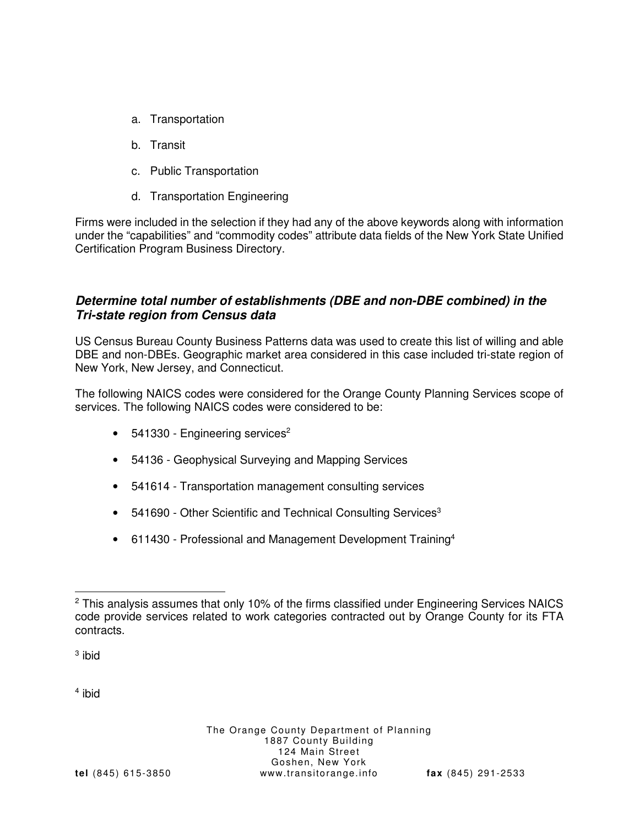- a. Transportation
- b. Transit
- c. Public Transportation
- d. Transportation Engineering

Firms were included in the selection if they had any of the above keywords along with information under the "capabilities" and "commodity codes" attribute data fields of the New York State Unified Certification Program Business Directory.

#### **Determine total number of establishments (DBE and non-DBE combined) in the Tri-state region from Census data**

US Census Bureau County Business Patterns data was used to create this list of willing and able DBE and non-DBEs. Geographic market area considered in this case included tri-state region of New York, New Jersey, and Connecticut.

The following NAICS codes were considered for the Orange County Planning Services scope of services. The following NAICS codes were considered to be:

- $\bullet$  541330 Engineering services<sup>2</sup>
- 54136 Geophysical Surveying and Mapping Services
- 541614 Transportation management consulting services
- 541690 Other Scientific and Technical Consulting Services<sup>3</sup>
- 611430 Professional and Management Development Training<sup>4</sup>

<sup>3</sup> ibid

4 ibid

<sup>-</sup><sup>2</sup> This analysis assumes that only 10% of the firms classified under Engineering Services NAICS code provide services related to work categories contracted out by Orange County for its FTA contracts.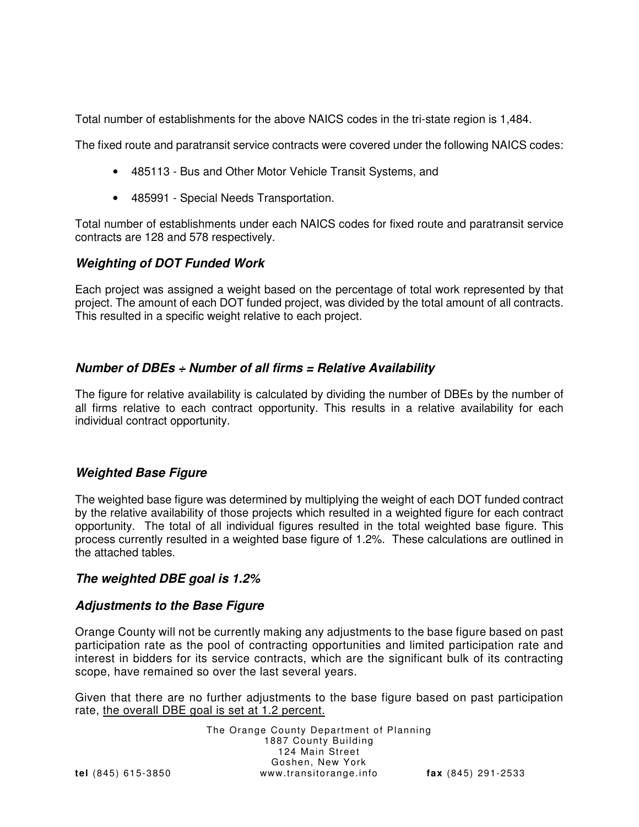Total number of establishments for the above NAICS codes in the tri-state region is 1,484.

The fixed route and paratransit service contracts were covered under the following NAICS codes:

- 485113 Bus and Other Motor Vehicle Transit Systems, and
- 485991 Special Needs Transportation.

Total number of establishments under each NAICS codes for fixed route and paratransit service contracts are 128 and 578 respectively.

#### **Weighting of DOT Funded Work**

Each project was assigned a weight based on the percentage of total work represented by that project. The amount of each DOT funded project, was divided by the total amount of all contracts. This resulted in a specific weight relative to each project.

### **Number of DBEs ÷ Number of all firms = Relative Availability**

The figure for relative availability is calculated by dividing the number of DBEs by the number of all firms relative to each contract opportunity. This results in a relative availability for each individual contract opportunity.

#### **Weighted Base Figure**

The weighted base figure was determined by multiplying the weight of each DOT funded contract by the relative availability of those projects which resulted in a weighted figure for each contract opportunity. The total of all individual figures resulted in the total weighted base figure. This process currently resulted in a weighted base figure of 1.2%. These calculations are outlined in the attached tables.

#### **The weighted DBE goal is 1.2%**

#### **Adjustments to the Base Figure**

Orange County will not be currently making any adjustments to the base figure based on past participation rate as the pool of contracting opportunities and limited participation rate and interest in bidders for its service contracts, which are the significant bulk of its contracting scope, have remained so over the last several years.

Given that there are no further adjustments to the base figure based on past participation rate, the overall DBE goal is set at 1.2 percent.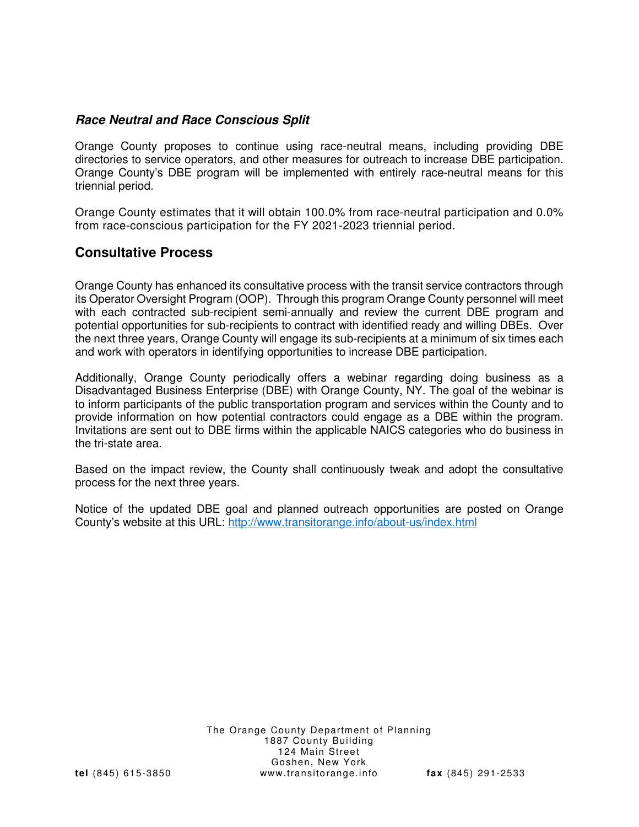#### **Race Neutral and Race Conscious Split**

Orange County proposes to continue using race-neutral means, including providing DBE directories to service operators, and other measures for outreach to increase DBE participation. Orange County's DBE program will be implemented with entirely race-neutral means for this triennial period.

Orange County estimates that it will obtain 100.0% from race-neutral participation and 0.0% from race-conscious participation for the FY 2021-2023 triennial period.

# **Consultative Process**

Orange County has enhanced its consultative process with the transit service contractors through its Operator Oversight Program (OOP). Through this program Orange County personnel will meet with each contracted sub-recipient semi-annually and review the current DBE program and potential opportunities for sub-recipients to contract with identified ready and willing DBEs. Over the next three years, Orange County will engage its sub-recipients at a minimum of six times each and work with operators in identifying opportunities to increase DBE participation.

Additionally, Orange County periodically offers a webinar regarding doing business as a Disadvantaged Business Enterprise (DBE) with Orange County, NY. The goal of the webinar is to inform participants of the public transportation program and services within the County and to provide information on how potential contractors could engage as a DBE within the program. Invitations are sent out to DBE firms within the applicable NAICS categories who do business in the tri-state area.

Based on the impact review, the County shall continuously tweak and adopt the consultative process for the next three years.

Notice of the updated DBE goal and planned outreach opportunities are posted on Orange County's website at this URL: http://www.transitorange.info/about-us/index.html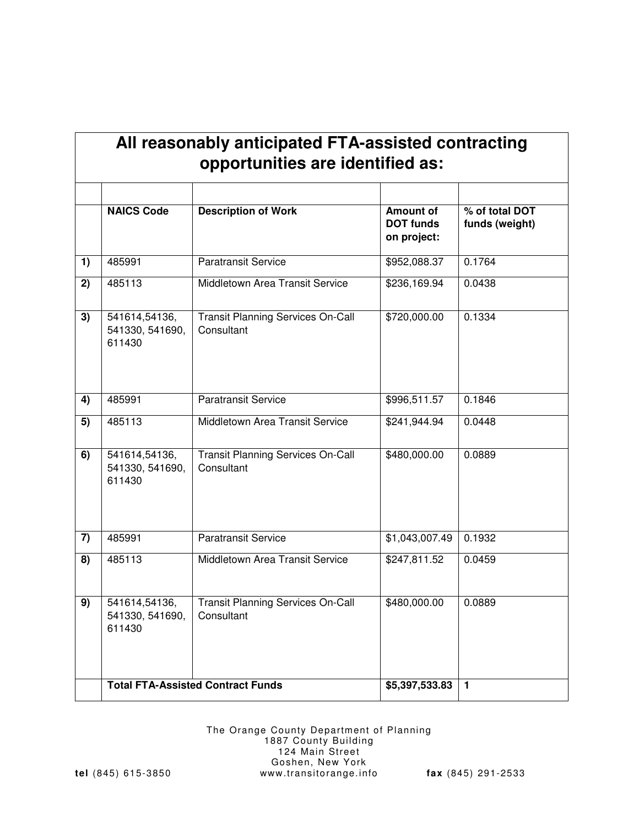| All reasonably anticipated FTA-assisted contracting |  |
|-----------------------------------------------------|--|
| opportunities are identified as:                    |  |

|                | <b>NAICS Code</b><br><b>Description of Work</b> |                                                        | <b>Amount of</b><br><b>DOT funds</b><br>on project: | % of total DOT<br>funds (weight) |  |
|----------------|-------------------------------------------------|--------------------------------------------------------|-----------------------------------------------------|----------------------------------|--|
| 1)             | 485991                                          | <b>Paratransit Service</b>                             | \$952,088.37                                        | 0.1764                           |  |
| 2)             | 485113                                          | Middletown Area Transit Service                        | \$236,169.94                                        | 0.0438                           |  |
| 3)             | 541614,54136,<br>541330, 541690,<br>611430      | <b>Transit Planning Services On-Call</b><br>Consultant | \$720,000.00                                        | 0.1334                           |  |
| 4)             | 485991                                          | <b>Paratransit Service</b>                             | \$996,511.57                                        | 0.1846                           |  |
| 5)             | 485113                                          | Middletown Area Transit Service                        |                                                     | 0.0448                           |  |
| 6)             | 541614,54136,<br>541330, 541690,<br>611430      | <b>Transit Planning Services On-Call</b><br>Consultant |                                                     | 0.0889                           |  |
| $\overline{7}$ | 485991                                          | <b>Paratransit Service</b>                             | \$1,043,007.49                                      | 0.1932                           |  |
| 8)             | 485113                                          | Middletown Area Transit Service                        | \$247,811.52                                        | 0.0459                           |  |
| 9)             | 541614,54136,<br>541330, 541690,<br>611430      | <b>Transit Planning Services On-Call</b><br>Consultant | \$480,000.00                                        | 0.0889                           |  |
|                | <b>Total FTA-Assisted Contract Funds</b>        |                                                        | \$5,397,533.83                                      | $\mathbf{1}$                     |  |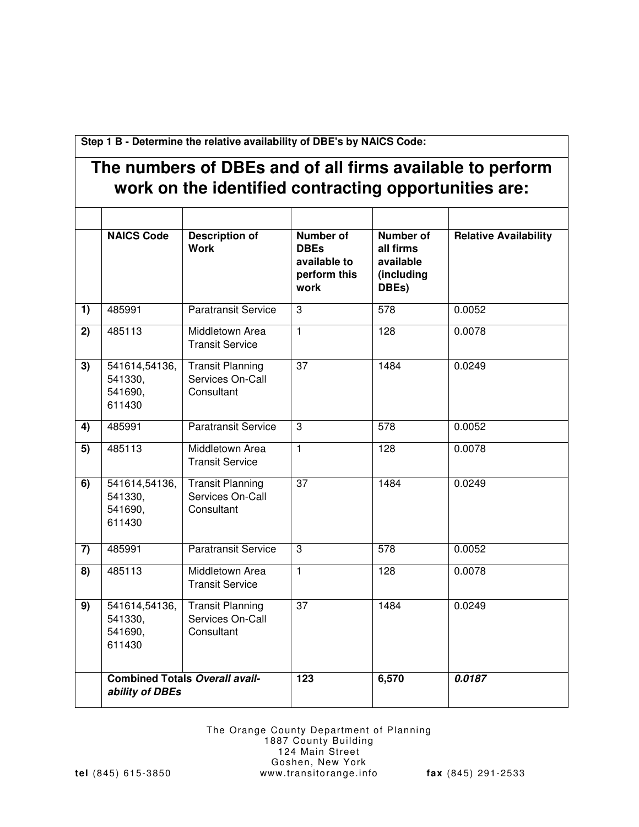**Step 1 B - Determine the relative availability of DBE's by NAICS Code:**

# **The numbers of DBEs and of all firms available to perform work on the identified contracting opportunities are:**

|                 | <b>NAICS Code</b>                                        | <b>Description of</b><br><b>Work</b>                      | <b>Number of</b><br><b>DBEs</b><br>available to<br>perform this<br>work | <b>Number of</b><br>all firms<br>available<br>(including<br>DBEs) | <b>Relative Availability</b> |
|-----------------|----------------------------------------------------------|-----------------------------------------------------------|-------------------------------------------------------------------------|-------------------------------------------------------------------|------------------------------|
| 1)              | 485991                                                   | <b>Paratransit Service</b>                                | 3                                                                       | 578                                                               | 0.0052                       |
| 2)              | 485113                                                   | Middletown Area<br><b>Transit Service</b>                 | $\overline{1}$                                                          | 128                                                               | 0.0078                       |
| $\overline{3)}$ | 541614,54136,<br>541330,<br>541690,<br>611430            | <b>Transit Planning</b><br>Services On-Call<br>Consultant | $\overline{37}$                                                         | 1484                                                              | 0.0249                       |
| 4)              | 485991                                                   | <b>Paratransit Service</b>                                | 3                                                                       | 578                                                               | 0.0052                       |
| 5)              | 485113                                                   | Middletown Area<br><b>Transit Service</b>                 | $\overline{1}$                                                          | 128                                                               | 0.0078                       |
| $\overline{6}$  | 541614,54136,<br>541330,<br>541690,<br>611430            | <b>Transit Planning</b><br>Services On-Call<br>Consultant | $\overline{37}$                                                         | 1484                                                              | 0.0249                       |
| 7)              | 485991                                                   | <b>Paratransit Service</b>                                | 3                                                                       | 578                                                               | 0.0052                       |
| 8)              | 485113                                                   | Middletown Area<br><b>Transit Service</b>                 | $\overline{1}$                                                          | 128                                                               | 0.0078                       |
| $\overline{9)}$ | 541614,54136,<br>541330,<br>541690,<br>611430            | <b>Transit Planning</b><br>Services On-Call<br>Consultant | $\overline{37}$                                                         | 1484                                                              | 0.0249                       |
|                 | <b>Combined Totals Overall avail-</b><br>ability of DBEs |                                                           | $\overline{123}$                                                        | 6,570                                                             | 0.0187                       |